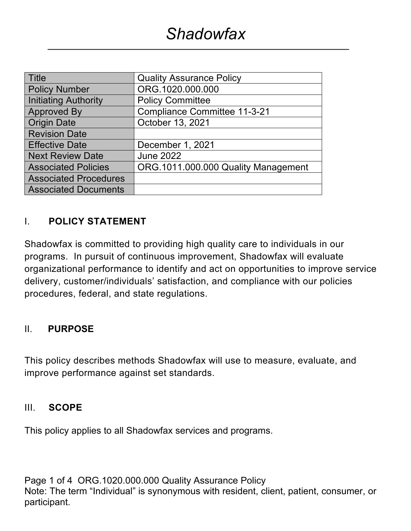| <b>Title</b>                 | <b>Quality Assurance Policy</b>     |  |
|------------------------------|-------------------------------------|--|
| <b>Policy Number</b>         | ORG.1020.000.000                    |  |
| <b>Initiating Authority</b>  | <b>Policy Committee</b>             |  |
| <b>Approved By</b>           | <b>Compliance Committee 11-3-21</b> |  |
| <b>Origin Date</b>           | October 13, 2021                    |  |
| <b>Revision Date</b>         |                                     |  |
| <b>Effective Date</b>        | December 1, 2021                    |  |
| <b>Next Review Date</b>      | <b>June 2022</b>                    |  |
| <b>Associated Policies</b>   | ORG.1011.000.000 Quality Management |  |
| <b>Associated Procedures</b> |                                     |  |
| <b>Associated Documents</b>  |                                     |  |

# I. **POLICY STATEMENT**

Shadowfax is committed to providing high quality care to individuals in our programs. In pursuit of continuous improvement, Shadowfax will evaluate organizational performance to identify and act on opportunities to improve service delivery, customer/individuals' satisfaction, and compliance with our policies procedures, federal, and state regulations.

#### II. **PURPOSE**

This policy describes methods Shadowfax will use to measure, evaluate, and improve performance against set standards.

#### III. **SCOPE**

This policy applies to all Shadowfax services and programs.

Page 1 of 4 ORG.1020.000.000 Quality Assurance Policy Note: The term "Individual" is synonymous with resident, client, patient, consumer, or participant.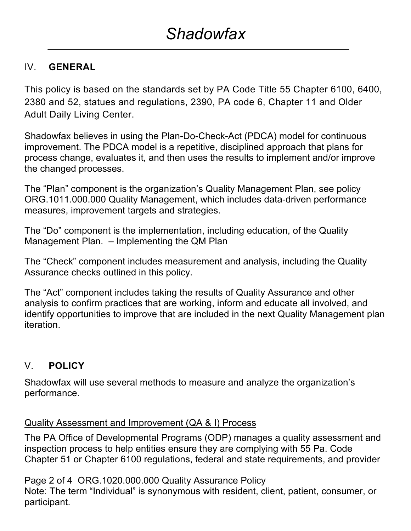# IV. **GENERAL**

This policy is based on the standards set by PA Code Title 55 Chapter 6100, 6400, 2380 and 52, statues and regulations, 2390, PA code 6, Chapter 11 and Older Adult Daily Living Center.

Shadowfax believes in using the Plan-Do-Check-Act (PDCA) model for continuous improvement. The PDCA model is a repetitive, disciplined approach that plans for process change, evaluates it, and then uses the results to implement and/or improve the changed processes.

The "Plan" component is the organization's Quality Management Plan, see policy ORG.1011.000.000 Quality Management, which includes data-driven performance measures, improvement targets and strategies.

The "Do" component is the implementation, including education, of the Quality Management Plan. – Implementing the QM Plan

The "Check" component includes measurement and analysis, including the Quality Assurance checks outlined in this policy.

The "Act" component includes taking the results of Quality Assurance and other analysis to confirm practices that are working, inform and educate all involved, and identify opportunities to improve that are included in the next Quality Management plan iteration.

# V. **POLICY**

Shadowfax will use several methods to measure and analyze the organization's performance.

# Quality Assessment and Improvement (QA & I) Process

The PA Office of Developmental Programs (ODP) manages a quality assessment and inspection process to help entities ensure they are complying with 55 Pa. Code Chapter 51 or Chapter 6100 regulations, federal and state requirements, and provider

Page 2 of 4 ORG.1020.000.000 Quality Assurance Policy Note: The term "Individual" is synonymous with resident, client, patient, consumer, or participant.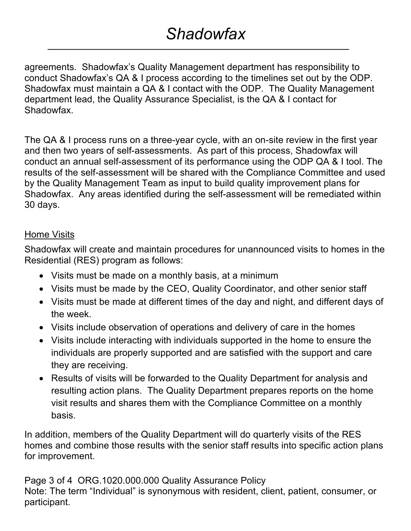# *Shadowfax*

agreements. Shadowfax's Quality Management department has responsibility to conduct Shadowfax's QA & I process according to the timelines set out by the ODP. Shadowfax must maintain a QA & I contact with the ODP. The Quality Management department lead, the Quality Assurance Specialist, is the QA & I contact for Shadowfax.

The QA & I process runs on a three-year cycle, with an on-site review in the first year and then two years of self-assessments. As part of this process, Shadowfax will conduct an annual self-assessment of its performance using the ODP QA & I tool. The results of the self-assessment will be shared with the Compliance Committee and used by the Quality Management Team as input to build quality improvement plans for Shadowfax. Any areas identified during the self-assessment will be remediated within 30 days.

#### Home Visits

Shadowfax will create and maintain procedures for unannounced visits to homes in the Residential (RES) program as follows:

- Visits must be made on a monthly basis, at a minimum
- Visits must be made by the CEO, Quality Coordinator, and other senior staff
- Visits must be made at different times of the day and night, and different days of the week.
- Visits include observation of operations and delivery of care in the homes
- Visits include interacting with individuals supported in the home to ensure the individuals are properly supported and are satisfied with the support and care they are receiving.
- Results of visits will be forwarded to the Quality Department for analysis and resulting action plans. The Quality Department prepares reports on the home visit results and shares them with the Compliance Committee on a monthly basis.

In addition, members of the Quality Department will do quarterly visits of the RES homes and combine those results with the senior staff results into specific action plans for improvement.

Page 3 of 4 ORG.1020.000.000 Quality Assurance Policy Note: The term "Individual" is synonymous with resident, client, patient, consumer, or participant.